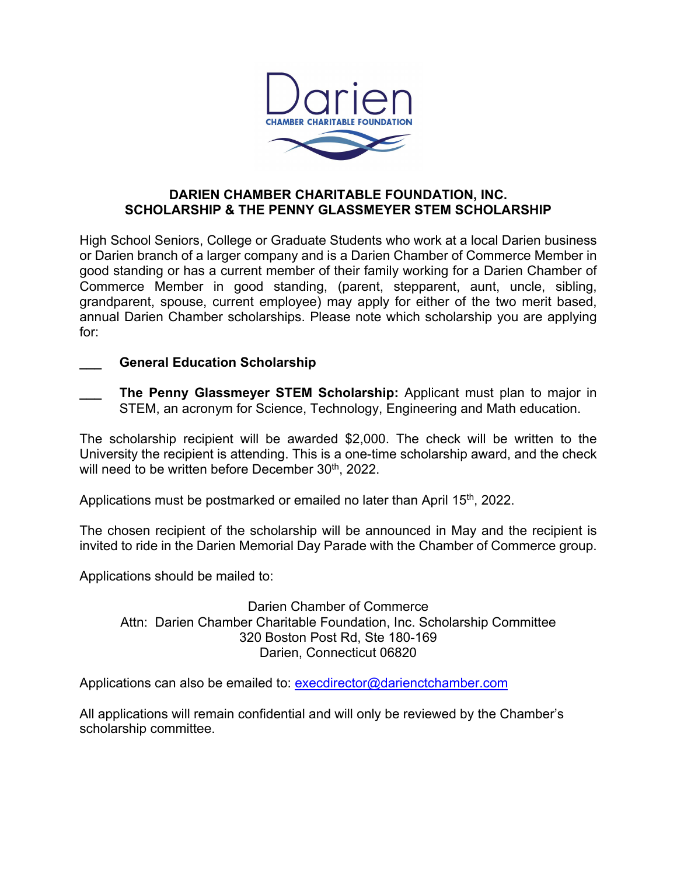

# **DARIEN CHAMBER CHARITABLE FOUNDATION, INC. SCHOLARSHIP & THE PENNY GLASSMEYER STEM SCHOLARSHIP**

High School Seniors, College or Graduate Students who work at a local Darien business or Darien branch of a larger company and is a Darien Chamber of Commerce Member in good standing or has a current member of their family working for a Darien Chamber of Commerce Member in good standing, (parent, stepparent, aunt, uncle, sibling, grandparent, spouse, current employee) may apply for either of the two merit based, annual Darien Chamber scholarships. Please note which scholarship you are applying for:

# **\_\_\_ General Education Scholarship**

**\_\_\_ The Penny Glassmeyer STEM Scholarship:** Applicant must plan to major in STEM, an acronym for Science, Technology, Engineering and Math education.

The scholarship recipient will be awarded \$2,000. The check will be written to the University the recipient is attending. This is a one-time scholarship award, and the check will need to be written before December 30<sup>th</sup>, 2022.

Applications must be postmarked or emailed no later than April 15<sup>th</sup>, 2022.

The chosen recipient of the scholarship will be announced in May and the recipient is invited to ride in the Darien Memorial Day Parade with the Chamber of Commerce group.

Applications should be mailed to:

Darien Chamber of Commerce Attn: Darien Chamber Charitable Foundation, Inc. Scholarship Committee 320 Boston Post Rd, Ste 180-169 Darien, Connecticut 06820

Applications can also be emailed to: execdirector@darienctchamber.com

All applications will remain confidential and will only be reviewed by the Chamber's scholarship committee.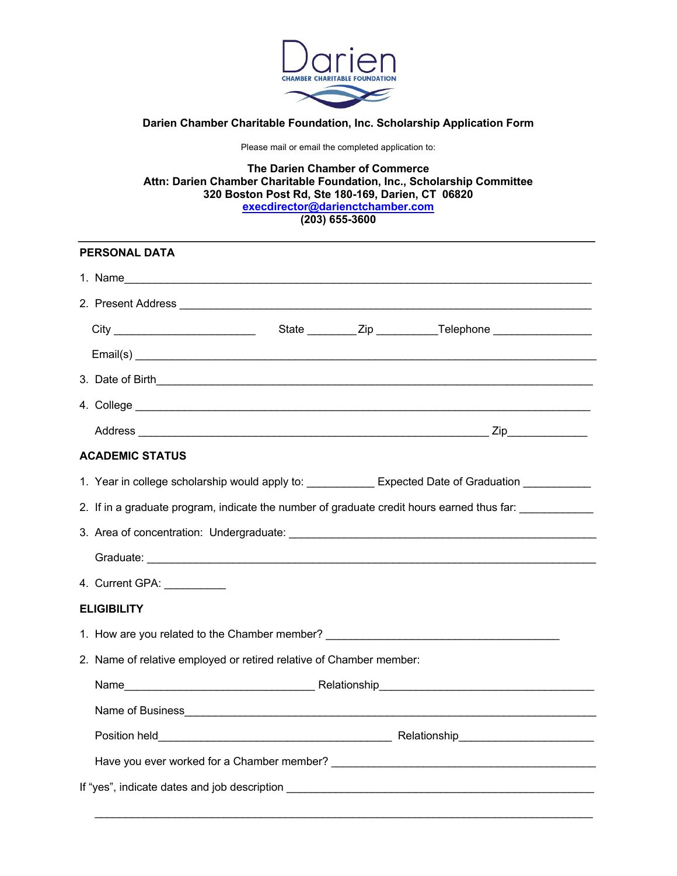

### **Darien Chamber Charitable Foundation, Inc. Scholarship Application Form**

Please mail or email the completed application to:

**The Darien Chamber of Commerce Attn: Darien Chamber Charitable Foundation, Inc., Scholarship Committee 320 Boston Post Rd, Ste 180-169, Darien, CT 06820 execdirector@darienctchamber.com (203) 655-3600**

| <b>PERSONAL DATA</b>   |                                                                                            |  |  |                                                                                  |  |  |  |
|------------------------|--------------------------------------------------------------------------------------------|--|--|----------------------------------------------------------------------------------|--|--|--|
|                        | 1. Name                                                                                    |  |  |                                                                                  |  |  |  |
|                        |                                                                                            |  |  |                                                                                  |  |  |  |
|                        |                                                                                            |  |  | State ___________ Zip _____________Telephone ___________________________________ |  |  |  |
|                        |                                                                                            |  |  |                                                                                  |  |  |  |
|                        |                                                                                            |  |  |                                                                                  |  |  |  |
|                        |                                                                                            |  |  |                                                                                  |  |  |  |
|                        |                                                                                            |  |  |                                                                                  |  |  |  |
| <b>ACADEMIC STATUS</b> |                                                                                            |  |  |                                                                                  |  |  |  |
|                        | 1. Year in college scholarship would apply to: Expected Date of Graduation _________       |  |  |                                                                                  |  |  |  |
|                        | 2. If in a graduate program, indicate the number of graduate credit hours earned thus far: |  |  |                                                                                  |  |  |  |
|                        |                                                                                            |  |  |                                                                                  |  |  |  |
|                        |                                                                                            |  |  |                                                                                  |  |  |  |
|                        | 4. Current GPA: ___________                                                                |  |  |                                                                                  |  |  |  |
| <b>ELIGIBILITY</b>     |                                                                                            |  |  |                                                                                  |  |  |  |
|                        | 1. How are you related to the Chamber member? __________________________________           |  |  |                                                                                  |  |  |  |
|                        | 2. Name of relative employed or retired relative of Chamber member:                        |  |  |                                                                                  |  |  |  |
|                        |                                                                                            |  |  |                                                                                  |  |  |  |
|                        |                                                                                            |  |  |                                                                                  |  |  |  |
|                        |                                                                                            |  |  |                                                                                  |  |  |  |
|                        |                                                                                            |  |  |                                                                                  |  |  |  |
|                        |                                                                                            |  |  |                                                                                  |  |  |  |

\_\_\_\_\_\_\_\_\_\_\_\_\_\_\_\_\_\_\_\_\_\_\_\_\_\_\_\_\_\_\_\_\_\_\_\_\_\_\_\_\_\_\_\_\_\_\_\_\_\_\_\_\_\_\_\_\_\_\_\_\_\_\_\_\_\_\_\_\_\_\_\_\_\_\_\_\_\_\_\_\_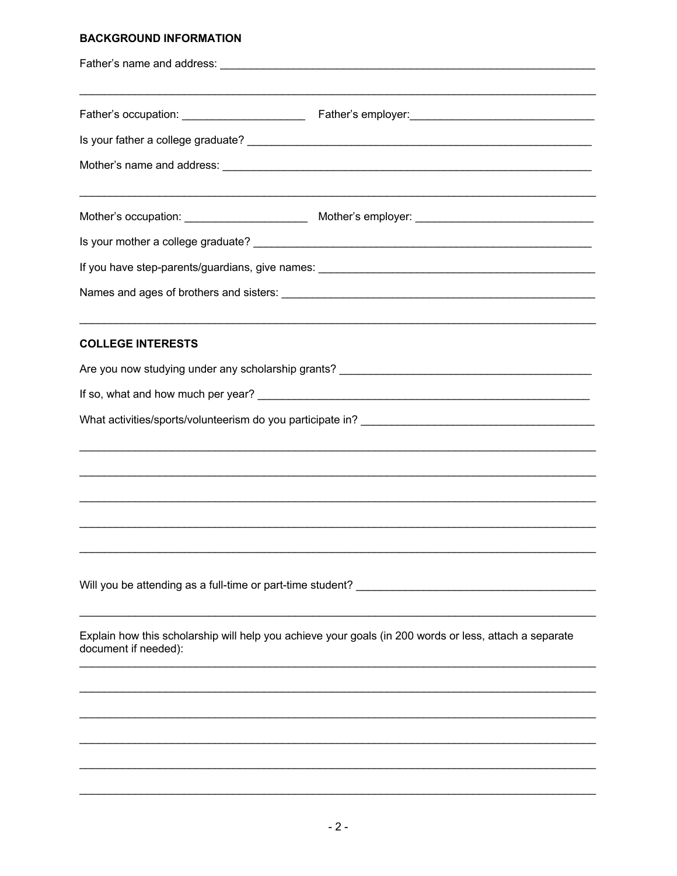# **BACKGROUND INFORMATION**

| <b>COLLEGE INTERESTS</b>                                   |                                                                                                        |  |  |  |  |
|------------------------------------------------------------|--------------------------------------------------------------------------------------------------------|--|--|--|--|
|                                                            |                                                                                                        |  |  |  |  |
|                                                            |                                                                                                        |  |  |  |  |
|                                                            |                                                                                                        |  |  |  |  |
|                                                            |                                                                                                        |  |  |  |  |
|                                                            |                                                                                                        |  |  |  |  |
|                                                            |                                                                                                        |  |  |  |  |
|                                                            |                                                                                                        |  |  |  |  |
| Will you be attending as a full-time or part-time student? |                                                                                                        |  |  |  |  |
| document if needed):                                       | Explain how this scholarship will help you achieve your goals (in 200 words or less, attach a separate |  |  |  |  |
|                                                            |                                                                                                        |  |  |  |  |
|                                                            |                                                                                                        |  |  |  |  |
|                                                            |                                                                                                        |  |  |  |  |
|                                                            |                                                                                                        |  |  |  |  |
|                                                            |                                                                                                        |  |  |  |  |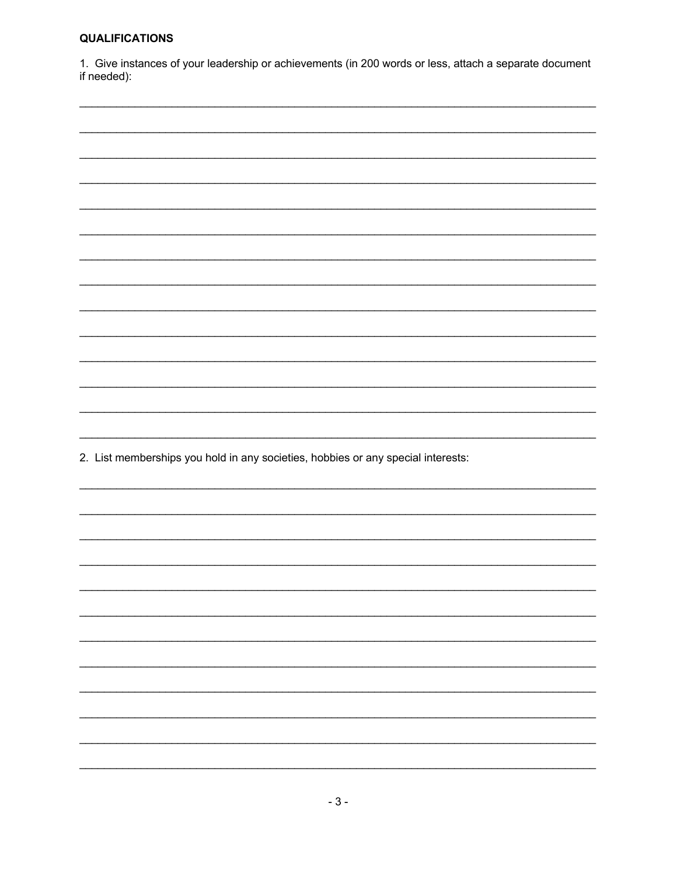#### **QUALIFICATIONS**

1. Give instances of your leadership or achievements (in 200 words or less, attach a separate document if needed):

|  | 2. List memberships you hold in any societies, hobbies or any special interests: |
|--|----------------------------------------------------------------------------------|